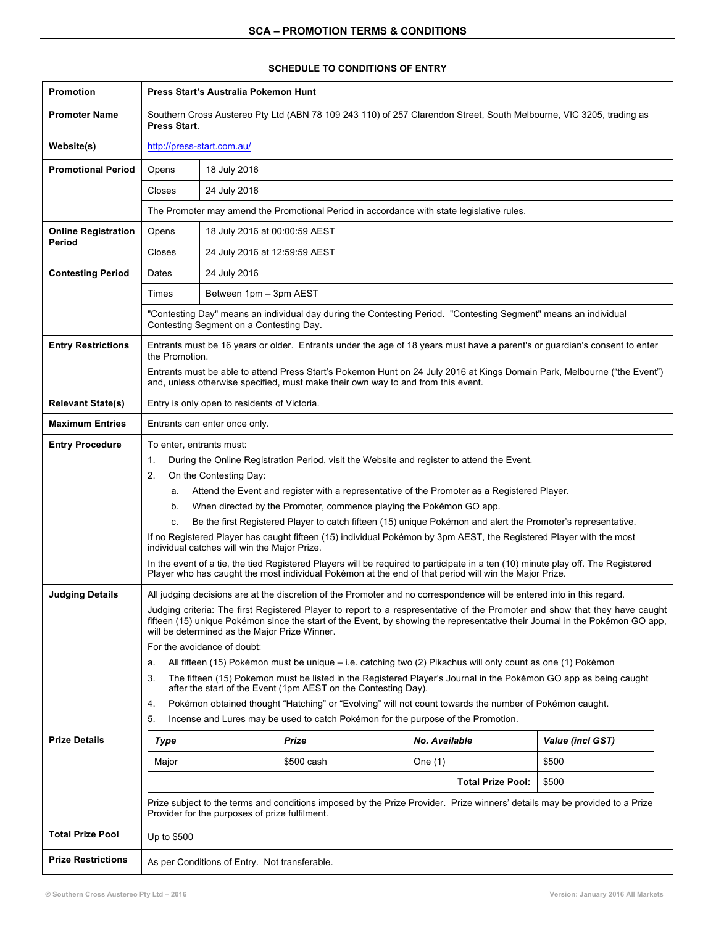## **Promotion Press Start's Australia Pokemon Hunt Promoter Name** | Southern Cross Austereo Pty Ltd (ABN 78 109 243 110) of 257 Clarendon Street, South Melbourne, VIC 3205, trading as **Press Start**. **Website(s)** http://press-start.com.au/ **Promotional Period** | Opens | 18 July 2016 Closes 24 July 2016 The Promoter may amend the Promotional Period in accordance with state legislative rules. **Online Registration Period** Opens 18 July 2016 at 00:00:59 AEST Closes 24 July 2016 at 12:59:59 AEST **Contesting Period** | Dates | 24 July 2016 Times Between 1pm – 3pm AEST "Contesting Day" means an individual day during the Contesting Period. "Contesting Segment" means an individual Contesting Segment on a Contesting Day. **Entry Restrictions** Funder and the 16 years or older. Entrants under the age of 18 years must have a parent's or quardian's consent to enter the Promotion. Entrants must be able to attend Press Start's Pokemon Hunt on 24 July 2016 at Kings Domain Park, Melbourne ("the Event") and, unless otherwise specified, must make their own way to and from this event. **Relevant State(s)** Entry is only open to residents of Victoria. **Maximum Entries** | Entrants can enter once only. **Entry Procedure** | To enter, entrants must: 1. During the Online Registration Period, visit the Website and register to attend the Event. 2. On the Contesting Day: a. Attend the Event and register with a representative of the Promoter as a Registered Player. b. When directed by the Promoter, commence playing the Pokémon GO app. c. Be the first Registered Player to catch fifteen (15) unique Pokémon and alert the Promoter's representative. If no Registered Player has caught fifteen (15) individual Pokémon by 3pm AEST, the Registered Player with the most individual catches will win the Major Prize. In the event of a tie, the tied Registered Players will be required to participate in a ten (10) minute play off. The Registered Player who has caught the most individual Pokémon at the end of that period will win the Major Prize. **Judging Details** All judging decisions are at the discretion of the Promoter and no correspondence will be entered into in this regard. Judging criteria: The first Registered Player to report to a respresentative of the Promoter and show that they have caught fifteen (15) unique Pokémon since the start of the Event, by showing the representative their Journal in the Pokémon GO app, will be determined as the Major Prize Winner. For the avoidance of doubt: a. All fifteen (15) Pokémon must be unique – i.e. catching two (2) Pikachus will only count as one (1) Pokémon 3. The fifteen (15) Pokemon must be listed in the Registered Player's Journal in the Pokémon GO app as being caught after the start of the Event (1pm AEST on the Contesting Day). 4. Pokémon obtained thought "Hatching" or "Evolving" will not count towards the number of Pokémon caught. 5. Incense and Lures may be used to catch Pokémon for the purpose of the Promotion. **Prize Details** *Type Prize No. Available Value (incl GST)* Major | \$500 cash | One (1) | \$500 **Total Prize Pool: \$500** Prize subject to the terms and conditions imposed by the Prize Provider. Prize winners' details may be provided to a Prize Provider for the purposes of prize fulfilment. Total Prize Pool Up to \$500 **Prize Restrictions** | As per Conditions of Entry. Not transferable.

## **SCHEDULE TO CONDITIONS OF ENTRY**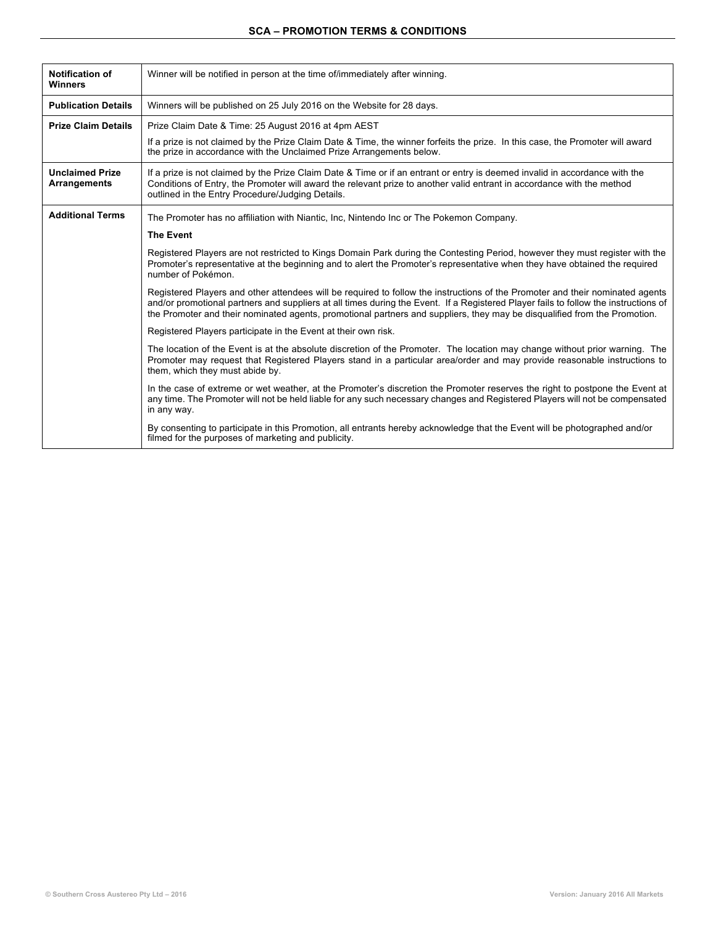## **SCA – PROMOTION TERMS & CONDITIONS**

| <b>Notification of</b><br><b>Winners</b> | Winner will be notified in person at the time of/immediately after winning.                                                                                                                                                                                                                                                                                                                       |
|------------------------------------------|---------------------------------------------------------------------------------------------------------------------------------------------------------------------------------------------------------------------------------------------------------------------------------------------------------------------------------------------------------------------------------------------------|
| <b>Publication Details</b>               | Winners will be published on 25 July 2016 on the Website for 28 days.                                                                                                                                                                                                                                                                                                                             |
| <b>Prize Claim Details</b>               | Prize Claim Date & Time: 25 August 2016 at 4pm AEST                                                                                                                                                                                                                                                                                                                                               |
|                                          | If a prize is not claimed by the Prize Claim Date & Time, the winner forfeits the prize. In this case, the Promoter will award<br>the prize in accordance with the Unclaimed Prize Arrangements below.                                                                                                                                                                                            |
| <b>Unclaimed Prize</b><br>Arrangements   | If a prize is not claimed by the Prize Claim Date & Time or if an entrant or entry is deemed invalid in accordance with the<br>Conditions of Entry, the Promoter will award the relevant prize to another valid entrant in accordance with the method<br>outlined in the Entry Procedure/Judging Details.                                                                                         |
| <b>Additional Terms</b>                  | The Promoter has no affiliation with Niantic, Inc, Nintendo Inc or The Pokemon Company.                                                                                                                                                                                                                                                                                                           |
|                                          | <b>The Event</b>                                                                                                                                                                                                                                                                                                                                                                                  |
|                                          | Registered Players are not restricted to Kings Domain Park during the Contesting Period, however they must register with the<br>Promoter's representative at the beginning and to alert the Promoter's representative when they have obtained the reguired<br>number of Pokémon.                                                                                                                  |
|                                          | Registered Players and other attendees will be required to follow the instructions of the Promoter and their nominated agents<br>and/or promotional partners and suppliers at all times during the Event. If a Registered Player fails to follow the instructions of<br>the Promoter and their nominated agents, promotional partners and suppliers, they may be disqualified from the Promotion. |
|                                          | Registered Players participate in the Event at their own risk.                                                                                                                                                                                                                                                                                                                                    |
|                                          | The location of the Event is at the absolute discretion of the Promoter. The location may change without prior warning. The<br>Promoter may request that Registered Players stand in a particular area/order and may provide reasonable instructions to<br>them, which they must abide by.                                                                                                        |
|                                          | In the case of extreme or wet weather, at the Promoter's discretion the Promoter reserves the right to postpone the Event at<br>any time. The Promoter will not be held liable for any such necessary changes and Registered Players will not be compensated<br>in any way.                                                                                                                       |
|                                          | By consenting to participate in this Promotion, all entrants hereby acknowledge that the Event will be photographed and/or<br>filmed for the purposes of marketing and publicity.                                                                                                                                                                                                                 |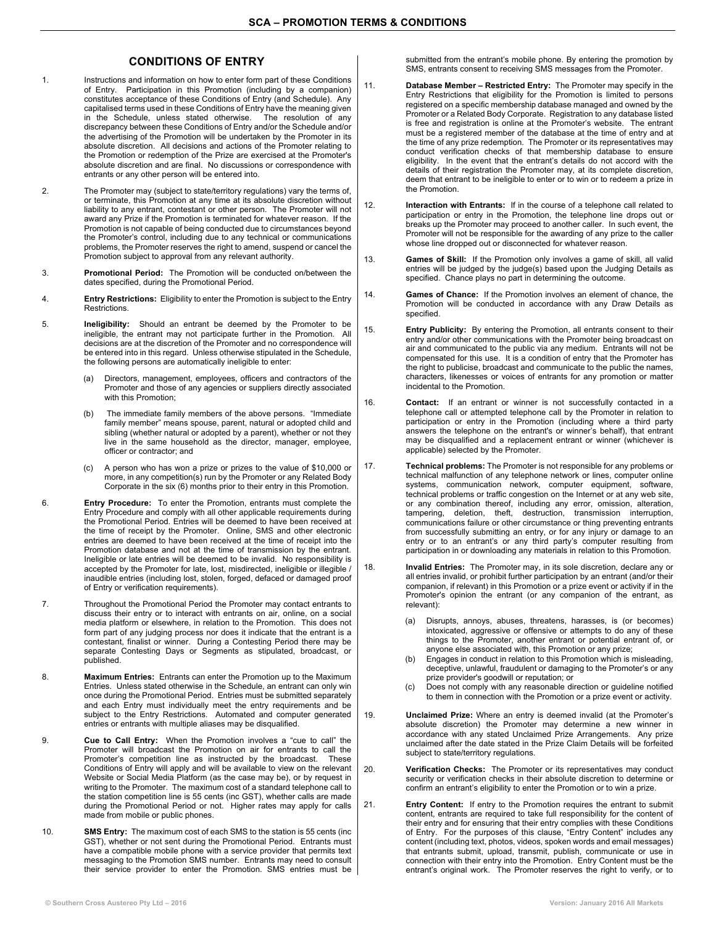## **CONDITIONS OF ENTRY**

- 1. Instructions and information on how to enter form part of these Conditions of Entry. Participation in this Promotion (including by a companion) constitutes acceptance of these Conditions of Entry (and Schedule). Any capitalised terms used in these Conditions of Entry have the meaning given in the Schedule, unless stated otherwise. The resolution of any discrepancy between these Conditions of Entry and/or the Schedule and/or the advertising of the Promotion will be undertaken by the Promoter in its absolute discretion. All decisions and actions of the Promoter relating to the Promotion or redemption of the Prize are exercised at the Promoter's absolute discretion and are final. No discussions or correspondence with entrants or any other person will be entered into.
- 2. The Promoter may (subject to state/territory regulations) vary the terms of, or terminate, this Promotion at any time at its absolute discretion without liability to any entrant, contestant or other person. The Promoter will not award any Prize if the Promotion is terminated for whatever reason. If the Promotion is not capable of being conducted due to circumstances beyond the Promoter's control, including due to any technical or communications problems, the Promoter reserves the right to amend, suspend or cancel the Promotion subject to approval from any relevant authority.
- 3. **Promotional Period:** The Promotion will be conducted on/between the dates specified, during the Promotional Period.
- 4. **Entry Restrictions:** Eligibility to enter the Promotion is subject to the Entry Restrictions.
- 5. **Ineligibility:** Should an entrant be deemed by the Promoter to be ineligible, the entrant may not participate further in the Promotion. All decisions are at the discretion of the Promoter and no correspondence will be entered into in this regard. Unless otherwise stipulated in the Schedule, the following persons are automatically ineligible to enter:
	- (a) Directors, management, employees, officers and contractors of the Promoter and those of any agencies or suppliers directly associated with this Promotion;
	- (b) The immediate family members of the above persons. "Immediate family member" means spouse, parent, natural or adopted child and sibling (whether natural or adopted by a parent), whether or not they live in the same household as the director, manager, employee, officer or contractor; and
	- (c) A person who has won a prize or prizes to the value of \$10,000 or more, in any competition(s) run by the Promoter or any Related Body Corporate in the six (6) months prior to their entry in this Promotion.
- 6. **Entry Procedure:** To enter the Promotion, entrants must complete the Entry Procedure and comply with all other applicable requirements during the Promotional Period. Entries will be deemed to have been received at the time of receipt by the Promoter. Online, SMS and other electronic entries are deemed to have been received at the time of receipt into the Promotion database and not at the time of transmission by the entrant. Ineligible or late entries will be deemed to be invalid. No responsibility is accepted by the Promoter for late, lost, misdirected, ineligible or illegible / inaudible entries (including lost, stolen, forged, defaced or damaged proof of Entry or verification requirements).
- 7. Throughout the Promotional Period the Promoter may contact entrants to discuss their entry or to interact with entrants on air, online, on a social media platform or elsewhere, in relation to the Promotion. This does not form part of any judging process nor does it indicate that the entrant is a contestant, finalist or winner. During a Contesting Period there may be separate Contesting Days or Segments as stipulated, broadcast, or published.
- 8. **Maximum Entries:** Entrants can enter the Promotion up to the Maximum Entries. Unless stated otherwise in the Schedule, an entrant can only win once during the Promotional Period. Entries must be submitted separately and each Entry must individually meet the entry requirements and be subject to the Entry Restrictions. Automated and computer generated entries or entrants with multiple aliases may be disqualified.
- 9. **Cue to Call Entry:** When the Promotion involves a "cue to call" the Promoter will broadcast the Promotion on air for entrants to call the Promoter's competition line as instructed by the broadcast. These Conditions of Entry will apply and will be available to view on the relevant Website or Social Media Platform (as the case may be), or by request in writing to the Promoter. The maximum cost of a standard telephone call to the station competition line is 55 cents (inc GST), whether calls are made during the Promotional Period or not. Higher rates may apply for calls made from mobile or public phones.
- 10. **SMS Entry:** The maximum cost of each SMS to the station is 55 cents (inc GST), whether or not sent during the Promotional Period. Entrants must have a compatible mobile phone with a service provider that permits text messaging to the Promotion SMS number. Entrants may need to consult their service provider to enter the Promotion. SMS entries must be

submitted from the entrant's mobile phone. By entering the promotion by SMS, entrants consent to receiving SMS messages from the Promoter.

- 11. **Database Member – Restricted Entry:** The Promoter may specify in the Entry Restrictions that eligibility for the Promotion is limited to persons registered on a specific membership database managed and owned by the Promoter or a Related Body Corporate. Registration to any database listed is free and registration is online at the Promoter's website. The entrant must be a registered member of the database at the time of entry and at the time of any prize redemption. The Promoter or its representatives may conduct verification checks of that membership database to ensure eligibility. In the event that the entrant's details do not accord with the details of their registration the Promoter may, at its complete discretion, deem that entrant to be ineligible to enter or to win or to redeem a prize in the Promotion.
- 12. **Interaction with Entrants:** If in the course of a telephone call related to participation or entry in the Promotion, the telephone line drops out or breaks up the Promoter may proceed to another caller. In such event, the Promoter will not be responsible for the awarding of any prize to the caller whose line dropped out or disconnected for whatever reason.
- 13. **Games of Skill:** If the Promotion only involves a game of skill, all valid entries will be judged by the judge(s) based upon the Judging Details as specified. Chance plays no part in determining the outcome.
- 14. **Games of Chance:** If the Promotion involves an element of chance, the Promotion will be conducted in accordance with any Draw Details as specified.
- 15. **Entry Publicity:** By entering the Promotion, all entrants consent to their entry and/or other communications with the Promoter being broadcast on air and communicated to the public via any medium. Entrants will not be compensated for this use. It is a condition of entry that the Promoter has the right to publicise, broadcast and communicate to the public the names, characters, likenesses or voices of entrants for any promotion or matter incidental to the Promotion.
- 16. **Contact:** If an entrant or winner is not successfully contacted in a telephone call or attempted telephone call by the Promoter in relation to participation or entry in the Promotion (including where a third party answers the telephone on the entrant's or winner's behalf), that entrant may be disqualified and a replacement entrant or winner (whichever is applicable) selected by the Promoter.
- 17. **Technical problems:** The Promoter is not responsible for any problems or technical malfunction of any telephone network or lines, computer online systems, communication network, computer equipment, software, technical problems or traffic congestion on the Internet or at any web site, or any combination thereof, including any error, omission, alteration, tampering, deletion, theft, destruction, transmission interruption, communications failure or other circumstance or thing preventing entrants from successfully submitting an entry, or for any injury or damage to an entry or to an entrant's or any third party's computer resulting from participation in or downloading any materials in relation to this Promotion.
- 18. **Invalid Entries:** The Promoter may, in its sole discretion, declare any or all entries invalid, or prohibit further participation by an entrant (and/or their companion, if relevant) in this Promotion or a prize event or activity if in the Promoter's opinion the entrant (or any companion of the entrant, as relevant):
	- (a) Disrupts, annoys, abuses, threatens, harasses, is (or becomes) intoxicated, aggressive or offensive or attempts to do any of these things to the Promoter, another entrant or potential entrant of, or anyone else associated with, this Promotion or any prize;
	- (b) Engages in conduct in relation to this Promotion which is misleading, deceptive, unlawful, fraudulent or damaging to the Promoter's or any prize provider's goodwill or reputation; or
	- (c) Does not comply with any reasonable direction or guideline notified to them in connection with the Promotion or a prize event or activity.
- 19. **Unclaimed Prize:** Where an entry is deemed invalid (at the Promoter's absolute discretion) the Promoter may determine a new winner in accordance with any stated Unclaimed Prize Arrangements. Any prize unclaimed after the date stated in the Prize Claim Details will be forfeited subject to state/territory regulations.
- 20. **Verification Checks:** The Promoter or its representatives may conduct security or verification checks in their absolute discretion to determine or confirm an entrant's eligibility to enter the Promotion or to win a prize.
- 21. **Entry Content:** If entry to the Promotion requires the entrant to submit content, entrants are required to take full responsibility for the content of their entry and for ensuring that their entry complies with these Conditions of Entry. For the purposes of this clause, "Entry Content" includes any content (including text, photos, videos, spoken words and email messages) that entrants submit, upload, transmit, publish, communicate or use in connection with their entry into the Promotion. Entry Content must be the entrant's original work. The Promoter reserves the right to verify, or to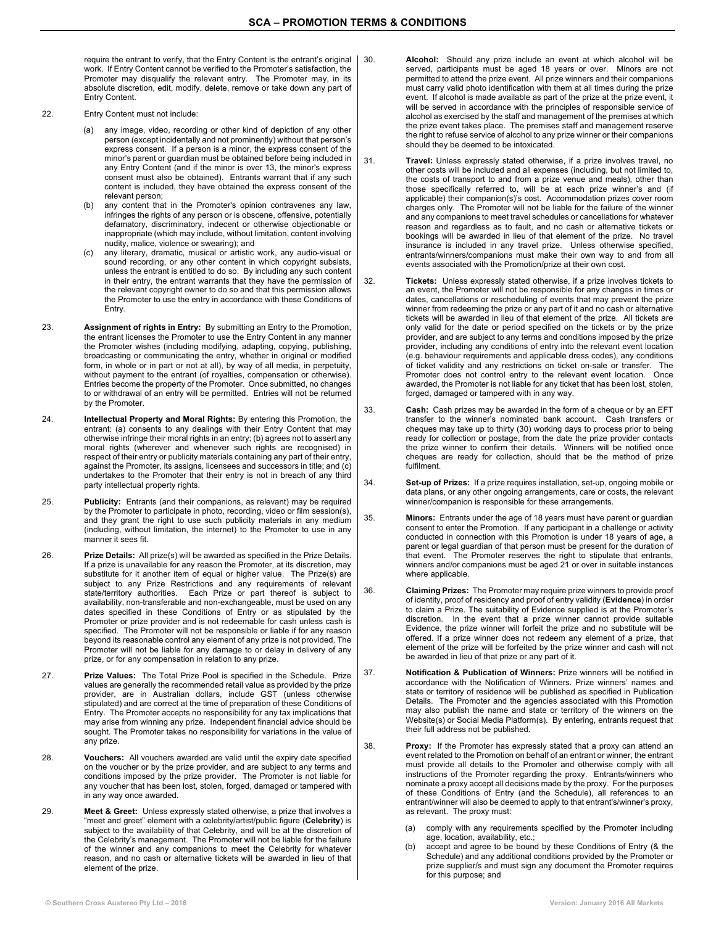require the entrant to verify, that the Entry Content is the entrant's original work. If Entry Content cannot be verified to the Promoter's satisfaction, the Promoter may disqualify the relevant entry. The Promoter may, in its absolute discretion, edit, modify, delete, remove or take down any part of Entry Content.

- 22. Entry Content must not include:
	- (a) any image, video, recording or other kind of depiction of any other person (except incidentally and not prominently) without that person's express consent. If a person is a minor, the express consent of the minor's parent or guardian must be obtained before being included in any Entry Content (and if the minor is over 13, the minor's express consent must also be obtained). Entrants warrant that if any such content is included, they have obtained the express consent of the relevant person;
	- (b) any content that in the Promoter's opinion contravenes any law, infringes the rights of any person or is obscene, offensive, potentially defamatory, discriminatory, indecent or otherwise objectionable or inappropriate (which may include, without limitation, content involving nudity, malice, violence or swearing); and
	- (c) any literary, dramatic, musical or artistic work, any audio-visual or sound recording, or any other content in which copyright subsists, unless the entrant is entitled to do so. By including any such content in their entry, the entrant warrants that they have the permission of the relevant copyright owner to do so and that this permission allows the Promoter to use the entry in accordance with these Conditions of Entry.
- 23. **Assignment of rights in Entry:** By submitting an Entry to the Promotion, the entrant licenses the Promoter to use the Entry Content in any manner the Promoter wishes (including modifying, adapting, copying, publishing, broadcasting or communicating the entry, whether in original or modified form, in whole or in part or not at all), by way of all media, in perpetuity, without payment to the entrant (of royalties, compensation or otherwise). Entries become the property of the Promoter. Once submitted, no changes to or withdrawal of an entry will be permitted. Entries will not be returned by the Promoter.
- 24. **Intellectual Property and Moral Rights:** By entering this Promotion, the entrant: (a) consents to any dealings with their Entry Content that may otherwise infringe their moral rights in an entry; (b) agrees not to assert any moral rights (wherever and whenever such rights are recognised) in respect of their entry or publicity materials containing any part of their entry, against the Promoter, its assigns, licensees and successors in title; and (c) undertakes to the Promoter that their entry is not in breach of any third party intellectual property rights.
- 25. **Publicity:** Entrants (and their companions, as relevant) may be required by the Promoter to participate in photo, recording, video or film session(s), and they grant the right to use such publicity materials in any medium (including, without limitation, the internet) to the Promoter to use in any manner it sees fit.
- 26. **Prize Details:** All prize(s) will be awarded as specified in the Prize Details. If a prize is unavailable for any reason the Promoter, at its discretion, may substitute for it another item of equal or higher value. The Prize(s) are subject to any Prize Restrictions and any requirements of relevant state/territory authorities. Each Prize or part thereof is subject to state/termory authorities. Each map of part theose is seen to the angular and any availability, non-transferable and non-exchangeable, must be used on any dates specified in these Conditions of Entry or as stipulated by the Promoter or prize provider and is not redeemable for cash unless cash is specified. The Promoter will not be responsible or liable if for any reason beyond its reasonable control any element of any prize is not provided. The Promoter will not be liable for any damage to or delay in delivery of any prize, or for any compensation in relation to any prize.
- 27. **Prize Values:** The Total Prize Pool is specified in the Schedule. Prize values are generally the recommended retail value as provided by the prize provider, are in Australian dollars, include GST (unless otherwise stipulated) and are correct at the time of preparation of these Conditions of Entry. The Promoter accepts no responsibility for any tax implications that may arise from winning any prize. Independent financial advice should be sought. The Promoter takes no responsibility for variations in the value of any prize.
- 28. **Vouchers:** All vouchers awarded are valid until the expiry date specified on the voucher or by the prize provider, and are subject to any terms and conditions imposed by the prize provider. The Promoter is not liable for any voucher that has been lost, stolen, forged, damaged or tampered with in any way once awarded.
- 29. **Meet & Greet:** Unless expressly stated otherwise, a prize that involves a "meet and greet" element with a celebrity/artist/public figure (**Celebrity**) is subject to the availability of that Celebrity, and will be at the discretion of the Celebrity's management. The Promoter will not be liable for the failure of the winner and any companions to meet the Celebrity for whatever reason, and no cash or alternative tickets will be awarded in lieu of that element of the prize.
- 30. **Alcohol:** Should any prize include an event at which alcohol will be served, participants must be aged 18 years or over. Minors are not permitted to attend the prize event. All prize winners and their companions must carry valid photo identification with them at all times during the prize event. If alcohol is made available as part of the prize at the prize event, it will be served in accordance with the principles of responsible service of alcohol as exercised by the staff and management of the premises at which the prize event takes place. The premises staff and management reserve the right to refuse service of alcohol to any prize winner or their companions should they be deemed to be intoxicated.
- 31. **Travel:** Unless expressly stated otherwise, if a prize involves travel, no other costs will be included and all expenses (including, but not limited to, the costs of transport to and from a prize venue and meals), other than those specifically referred to, will be at each prize winner's and (if applicable) their companion(s)'s cost. Accommodation prizes cover room charges only. The Promoter will not be liable for the failure of the winner and any companions to meet travel schedules or cancellations for whatever reason and regardless as to fault, and no cash or alternative tickets or bookings will be awarded in lieu of that element of the prize. No travel insurance is included in any travel prize. Unless otherwise specified, entrants/winners/companions must make their own way to and from all events associated with the Promotion/prize at their own cost.
- 32. **Tickets:** Unless expressly stated otherwise, if a prize involves tickets to an event, the Promoter will not be responsible for any changes in times or dates, cancellations or rescheduling of events that may prevent the prize winner from redeeming the prize or any part of it and no cash or alternative tickets will be awarded in lieu of that element of the prize. All tickets are only valid for the date or period specified on the tickets or by the prize provider, and are subject to any terms and conditions imposed by the prize provider, including any conditions of entry into the relevant event location (e.g. behaviour requirements and applicable dress codes), any conditions of ticket validity and any restrictions on ticket on-sale or transfer. The Promoter does not control entry to the relevant event location. Once awarded, the Promoter is not liable for any ticket that has been lost, stolen, forged, damaged or tampered with in any way.
- 33. **Cash:** Cash prizes may be awarded in the form of a cheque or by an EFT transfer to the winner's nominated bank account. Cash transfers or cheques may take up to thirty (30) working days to process prior to being ready for collection or postage, from the date the prize provider contacts the prize winner to confirm their details. Winners will be notified once cheques are ready for collection, should that be the method of prize fulfilment.
- 34. **Set-up of Prizes:** If a prize requires installation, set-up, ongoing mobile or data plans, or any other ongoing arrangements, care or costs, the relevant winner/companion is responsible for these arrangements.
- 35. **Minors:** Entrants under the age of 18 years must have parent or guardian consent to enter the Promotion. If any participant in a challenge or activity conducted in connection with this Promotion is under 18 years of age, a parent or legal guardian of that person must be present for the duration of that event. The Promoter reserves the right to stipulate that entrants, winners and/or companions must be aged 21 or over in suitable instances where applicable.
- 36. **Claiming Prizes:** The Promoter may require prize winners to provide proof of identity, proof of residency and proof of entry validity (**Evidence**) in order to claim a Prize. The suitability of Evidence supplied is at the Promoter's discretion. In the event that a prize winner cannot provide suitable Evidence, the prize winner will forfeit the prize and no substitute will be offered. If a prize winner does not redeem any element of a prize, that element of the prize will be forfeited by the prize winner and cash will not be awarded in lieu of that prize or any part of it.
- 37. **Notification & Publication of Winners:** Prize winners will be notified in accordance with the Notification of Winners. Prize winners' names and state or territory of residence will be published as specified in Publication Details. The Promoter and the agencies associated with this Promotion may also publish the name and state or territory of the winners on the Website(s) or Social Media Platform(s). By entering, entrants request that their full address not be published.
- 38. **Proxy:** If the Promoter has expressly stated that a proxy can attend an event related to the Promotion on behalf of an entrant or winner, the entrant must provide all details to the Promoter and otherwise comply with all instructions of the Promoter regarding the proxy. Entrants/winners who nominate a proxy accept all decisions made by the proxy. For the purposes of these Conditions of Entry (and the Schedule), all references to an entrant/winner will also be deemed to apply to that entrant's/winner's proxy, as relevant. The proxy must:
	- (a) comply with any requirements specified by the Promoter including age, location, availability, etc.;
	- (b) accept and agree to be bound by these Conditions of Entry (& the Schedule) and any additional conditions provided by the Promoter or prize supplier/s and must sign any document the Promoter requires for this purpose; and